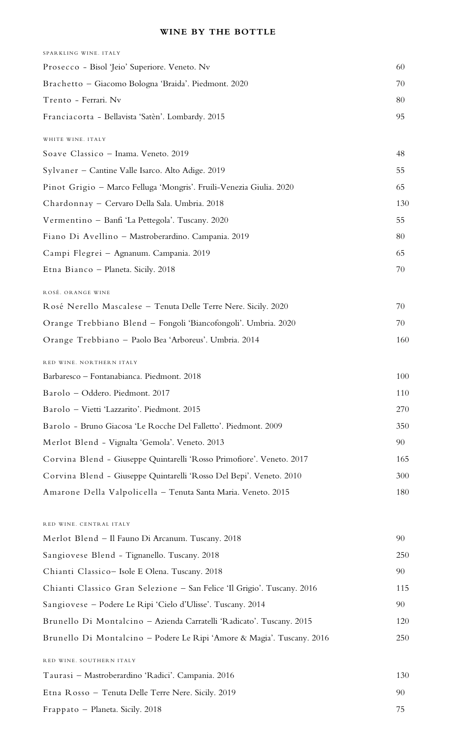## **WINE BY THE BOTTLE**

| SPARKLING WINE. ITALY                                                   |     |
|-------------------------------------------------------------------------|-----|
| Prosecco - Bisol 'Jeio' Superiore. Veneto. Nv                           | 60  |
| Brachetto - Giacomo Bologna 'Braida'. Piedmont. 2020                    | 70  |
| Trento - Ferrari. Nv                                                    | 80  |
| Franciacorta - Bellavista 'Satèn'. Lombardy. 2015                       | 95  |
| WHITE WINE. ITALY                                                       |     |
| Soave Classico - Inama. Veneto. 2019                                    | 48  |
| Sylvaner - Cantine Valle Isarco. Alto Adige. 2019                       | 55  |
| Pinot Grigio - Marco Felluga 'Mongris'. Fruili-Venezia Giulia. 2020     | 65  |
| Chardonnay - Cervaro Della Sala. Umbria. 2018                           | 130 |
| Vermentino - Banfi 'La Pettegola'. Tuscany. 2020                        | 55  |
| Fiano Di Avellino - Mastroberardino. Campania. 2019                     | 80  |
| Campi Flegrei - Agnanum. Campania. 2019                                 | 65  |
| Etna Bianco - Planeta. Sicily. 2018                                     | 70  |
| ROSÉ. ORANGE WINE                                                       |     |
| Rosé Nerello Mascalese - Tenuta Delle Terre Nere. Sicily. 2020          | 70  |
| Orange Trebbiano Blend - Fongoli 'Biancofongoli'. Umbria. 2020          | 70  |
| Orange Trebbiano - Paolo Bea 'Arboreus'. Umbria. 2014                   | 160 |
| RED WINE. NORTHERN ITALY                                                |     |
| Barbaresco - Fontanabianca. Piedmont. 2018                              | 100 |
| Barolo - Oddero. Piedmont. 2017                                         | 110 |
| Barolo - Vietti 'Lazzarito'. Piedmont. 2015                             | 270 |
| Barolo - Bruno Giacosa 'Le Rocche Del Falletto'. Piedmont. 2009         | 350 |
| Merlot Blend - Vignalta 'Gemola'. Veneto. 2013                          | 90  |
| Corvina Blend - Giuseppe Quintarelli 'Rosso Primofiore'. Veneto. 2017   | 165 |
| Corvina Blend - Giuseppe Quintarelli 'Rosso Del Bepi'. Veneto. 2010     | 300 |
| Amarone Della Valpolicella – Tenuta Santa Maria. Veneto. 2015           | 180 |
| RED WINE. CENTRAL ITALY                                                 |     |
| Merlot Blend - Il Fauno Di Arcanum. Tuscany. 2018                       | 90  |
| Sangiovese Blend - Tignanello. Tuscany. 2018                            | 250 |
| Chianti Classico - Isole E Olena. Tuscany. 2018                         | 90  |
| Chianti Classico Gran Selezione - San Felice 'Il Grigio'. Tuscany. 2016 | 115 |
| Sangiovese – Podere Le Ripi 'Cielo d'Ulisse'. Tuscany. 2014             | 90  |
| Brunello Di Montalcino - Azienda Carratelli 'Radicato'. Tuscany. 2015   | 120 |
| Brunello Di Montalcino – Podere Le Ripi 'Amore & Magia'. Tuscany. 2016  | 250 |
| RED WINE. SOUTHERN ITALY                                                |     |
| Taurasi - Mastroberardino 'Radici'. Campania. 2016                      | 130 |
| Etna Rosso - Tenuta Delle Terre Nere. Sicily. 2019                      | 90  |
| Frappato - Planeta. Sicily. 2018                                        | 75  |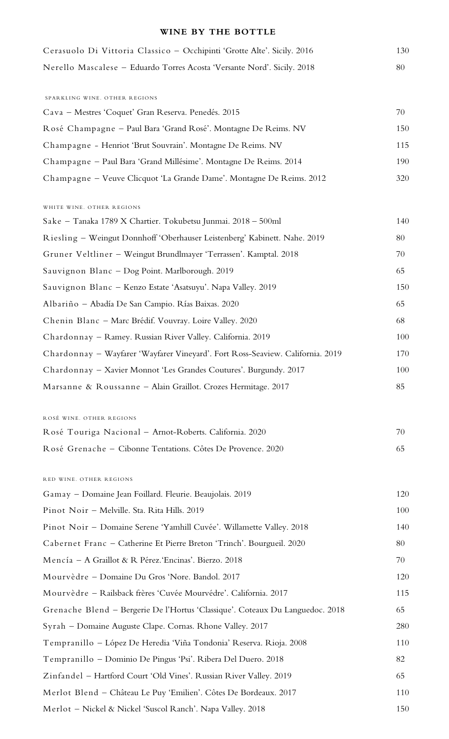## **WINE BY THE BOTTLE**

| Cerasuolo Di Vittoria Classico - Occhipinti 'Grotte Alte'. Sicily. 2016        | 130 |
|--------------------------------------------------------------------------------|-----|
| Nerello Mascalese - Eduardo Torres Acosta 'Versante Nord'. Sicily. 2018        | 80  |
|                                                                                |     |
| SPARKLING WINE. OTHER REGIONS                                                  |     |
| Cava - Mestres 'Coquet' Gran Reserva. Penedés. 2015                            | 70  |
| Rosé Champagne - Paul Bara 'Grand Rosé'. Montagne De Reims. NV                 | 150 |
| Champagne - Henriot 'Brut Souvrain'. Montagne De Reims. NV                     | 115 |
| Champagne - Paul Bara 'Grand Millésime'. Montagne De Reims. 2014               | 190 |
| Champagne - Veuve Clicquot 'La Grande Dame'. Montagne De Reims. 2012           | 320 |
| WHITE WINE. OTHER REGIONS                                                      |     |
| Sake – Tanaka 1789 X Chartier. Tokubetsu Junmai. 2018 – 500ml                  | 140 |
| Riesling - Weingut Donnhoff 'Oberhauser Leistenberg' Kabinett. Nahe. 2019      | 80  |
| Gruner Veltliner - Weingut Brundlmayer 'Terrassen'. Kamptal. 2018              | 70  |
| Sauvignon Blanc - Dog Point. Marlborough. 2019                                 | 65  |
| Sauvignon Blanc - Kenzo Estate 'Asatsuyu'. Napa Valley. 2019                   | 150 |
| Albariño - Abadía De San Campio. Rías Baixas. 2020                             | 65  |
| Chenin Blanc - Marc Brédif. Vouvray. Loire Valley. 2020                        | 68  |
| Chardonnay - Ramey. Russian River Valley. California. 2019                     | 100 |
| Chardonnay - Wayfarer 'Wayfarer Vineyard'. Fort Ross-Seaview. California. 2019 | 170 |
| Chardonnay - Xavier Monnot 'Les Grandes Coutures'. Burgundy. 2017              | 100 |
| Marsanne & Roussanne - Alain Graillot. Crozes Hermitage. 2017                  | 85  |
|                                                                                |     |
| ROSÉ WINE. OTHER REGIONS                                                       |     |
| Rosé Touriga Nacional - Arnot-Roberts. California. 2020                        | 70  |
| Rosé Grenache - Cibonne Tentations. Côtes De Provence. 2020                    | 65  |
| RED WINE. OTHER REGIONS                                                        |     |
| Gamay - Domaine Jean Foillard. Fleurie. Beaujolais. 2019                       | 120 |
| Pinot Noir - Melville. Sta. Rita Hills. 2019                                   | 100 |
| Pinot Noir - Domaine Serene 'Yamhill Cuvée'. Willamette Valley. 2018           | 140 |
| Cabernet Franc - Catherine Et Pierre Breton 'Trinch'. Bourgueil. 2020          | 80  |
| Mencía - A Graillot & R Pérez. Encinas'. Bierzo. 2018                          | 70  |
| Mourvèdre - Domaine Du Gros 'Nore. Bandol. 2017                                | 120 |
| Mourvèdre - Railsback frères 'Cuvée Mourvédre'. California. 2017               | 115 |
| Grenache Blend - Bergerie De l'Hortus 'Classique'. Coteaux Du Languedoc. 2018  | 65  |
| Syrah - Domaine Auguste Clape. Cornas. Rhone Valley. 2017                      | 280 |
| Tempranillo - López De Heredia 'Viña Tondonia' Reserva. Rioja. 2008            | 110 |
| Tempranillo - Dominio De Pingus 'Psi'. Ribera Del Duero. 2018                  | 82  |
| Zinfandel - Hartford Court 'Old Vines'. Russian River Valley. 2019             | 65  |
| Merlot Blend - Château Le Puy 'Emilien'. Côtes De Bordeaux. 2017               | 110 |
| Merlot - Nickel & Nickel 'Suscol Ranch'. Napa Valley. 2018                     | 150 |